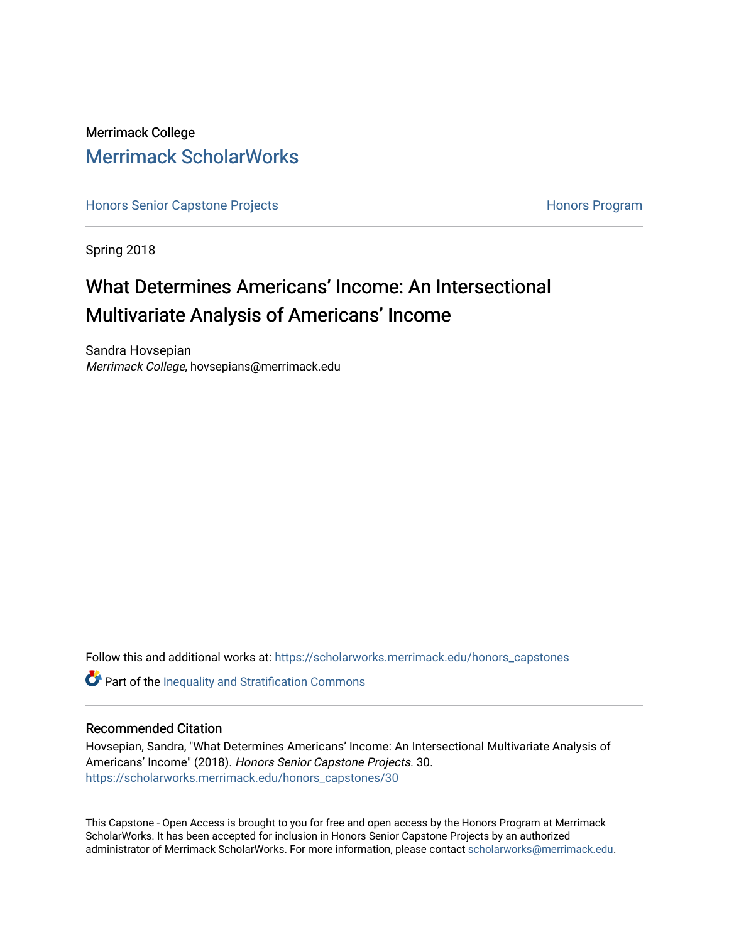# Merrimack College [Merrimack ScholarWorks](https://scholarworks.merrimack.edu/)

[Honors Senior Capstone Projects](https://scholarworks.merrimack.edu/honors_capstones) **Honors Program** Honors Program

Spring 2018

# What Determines Americans' Income: An Intersectional Multivariate Analysis of Americans' Income

Sandra Hovsepian Merrimack College, hovsepians@merrimack.edu

Follow this and additional works at: [https://scholarworks.merrimack.edu/honors\\_capstones](https://scholarworks.merrimack.edu/honors_capstones?utm_source=scholarworks.merrimack.edu%2Fhonors_capstones%2F30&utm_medium=PDF&utm_campaign=PDFCoverPages)

**Part of the Inequality and Stratification Commons** 

### Recommended Citation

Hovsepian, Sandra, "What Determines Americans' Income: An Intersectional Multivariate Analysis of Americans' Income" (2018). Honors Senior Capstone Projects. 30. [https://scholarworks.merrimack.edu/honors\\_capstones/30](https://scholarworks.merrimack.edu/honors_capstones/30?utm_source=scholarworks.merrimack.edu%2Fhonors_capstones%2F30&utm_medium=PDF&utm_campaign=PDFCoverPages) 

This Capstone - Open Access is brought to you for free and open access by the Honors Program at Merrimack ScholarWorks. It has been accepted for inclusion in Honors Senior Capstone Projects by an authorized administrator of Merrimack ScholarWorks. For more information, please contact [scholarworks@merrimack.edu](mailto:scholarworks@merrimack.edu).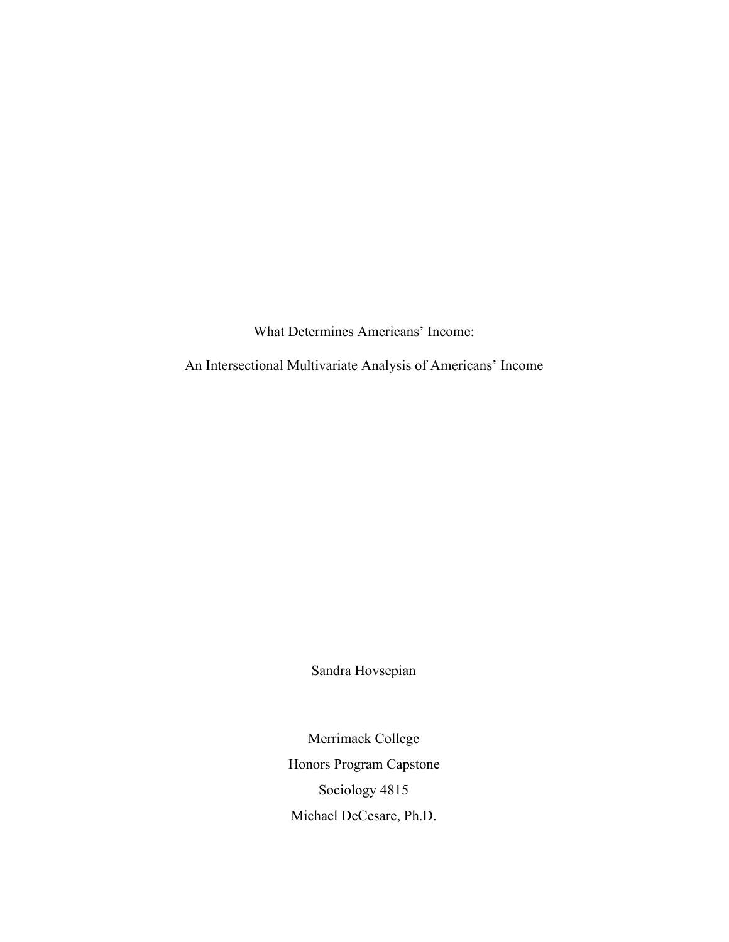What Determines Americans' Income:

An Intersectional Multivariate Analysis of Americans' Income

Sandra Hovsepian

Merrimack College Honors Program Capstone Sociology 4815 Michael DeCesare, Ph.D.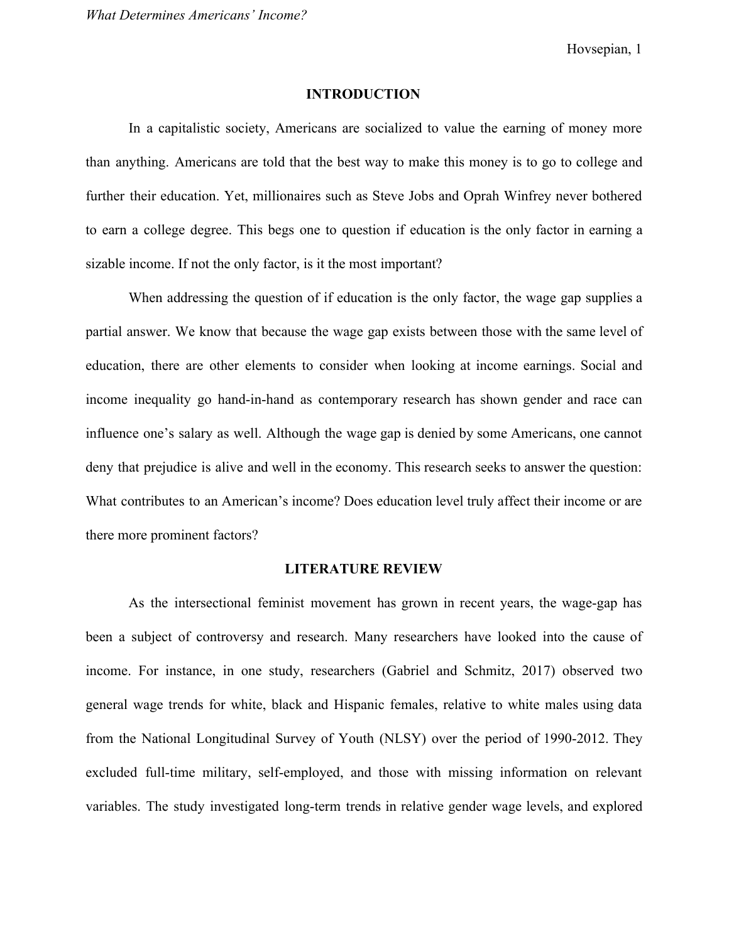Hovsepian, 1

### **INTRODUCTION**

In a capitalistic society, Americans are socialized to value the earning of money more than anything. Americans are told that the best way to make this money is to go to college and further their education. Yet, millionaires such as Steve Jobs and Oprah Winfrey never bothered to earn a college degree. This begs one to question if education is the only factor in earning a sizable income. If not the only factor, is it the most important?

When addressing the question of if education is the only factor, the wage gap supplies a partial answer. We know that because the wage gap exists between those with the same level of education, there are other elements to consider when looking at income earnings. Social and income inequality go hand-in-hand as contemporary research has shown gender and race can influence one's salary as well. Although the wage gap is denied by some Americans, one cannot deny that prejudice is alive and well in the economy. This research seeks to answer the question: What contributes to an American's income? Does education level truly affect their income or are there more prominent factors?

### **LITERATURE REVIEW**

As the intersectional feminist movement has grown in recent years, the wage-gap has been a subject of controversy and research. Many researchers have looked into the cause of income. For instance, in one study, researchers (Gabriel and Schmitz, 2017) observed two general wage trends for white, black and Hispanic females, relative to white males using data from the National Longitudinal Survey of Youth (NLSY) over the period of 1990-2012. They excluded full-time military, self-employed, and those with missing information on relevant variables. The study investigated long-term trends in relative gender wage levels, and explored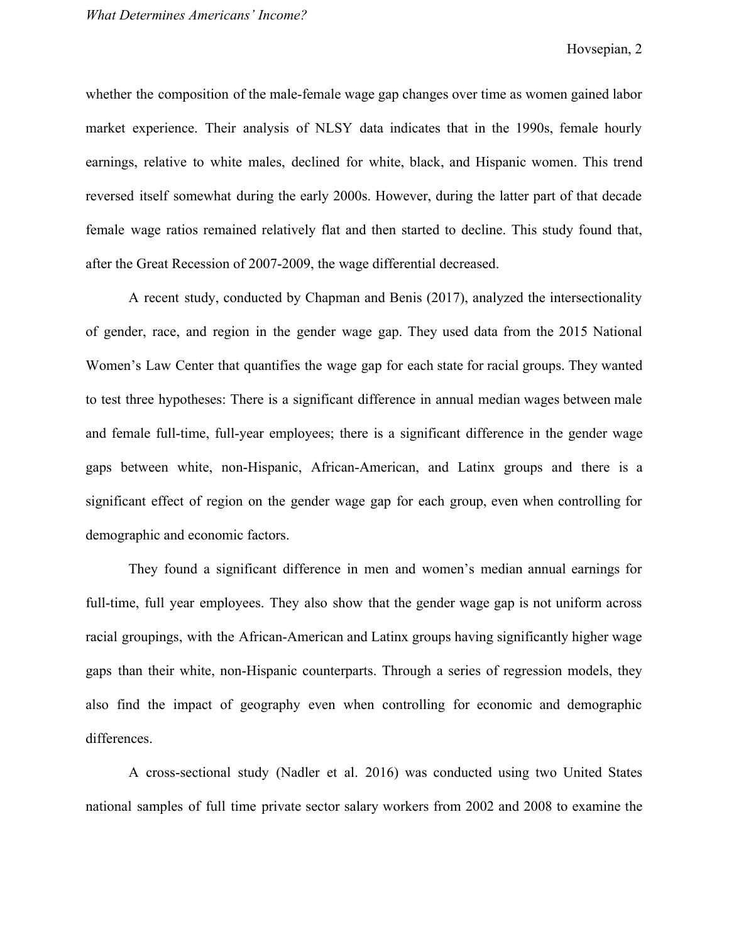whether the composition of the male-female wage gap changes over time as women gained labor market experience. Their analysis of NLSY data indicates that in the 1990s, female hourly earnings, relative to white males, declined for white, black, and Hispanic women. This trend reversed itself somewhat during the early 2000s. However, during the latter part of that decade female wage ratios remained relatively flat and then started to decline. This study found that, after the Great Recession of 2007-2009, the wage differential decreased.

A recent study, conducted by Chapman and Benis (2017), analyzed the intersectionality of gender, race, and region in the gender wage gap. They used data from the 2015 National Women's Law Center that quantifies the wage gap for each state for racial groups. They wanted to test three hypotheses: There is a significant difference in annual median wages between male and female full-time, full-year employees; there is a significant difference in the gender wage gaps between white, non-Hispanic, African-American, and Latinx groups and there is a significant effect of region on the gender wage gap for each group, even when controlling for demographic and economic factors.

They found a significant difference in men and women's median annual earnings for full-time, full year employees. They also show that the gender wage gap is not uniform across racial groupings, with the African-American and Latinx groups having significantly higher wage gaps than their white, non-Hispanic counterparts. Through a series of regression models, they also find the impact of geography even when controlling for economic and demographic differences.

A cross-sectional study (Nadler et al. 2016) was conducted using two United States national samples of full time private sector salary workers from 2002 and 2008 to examine the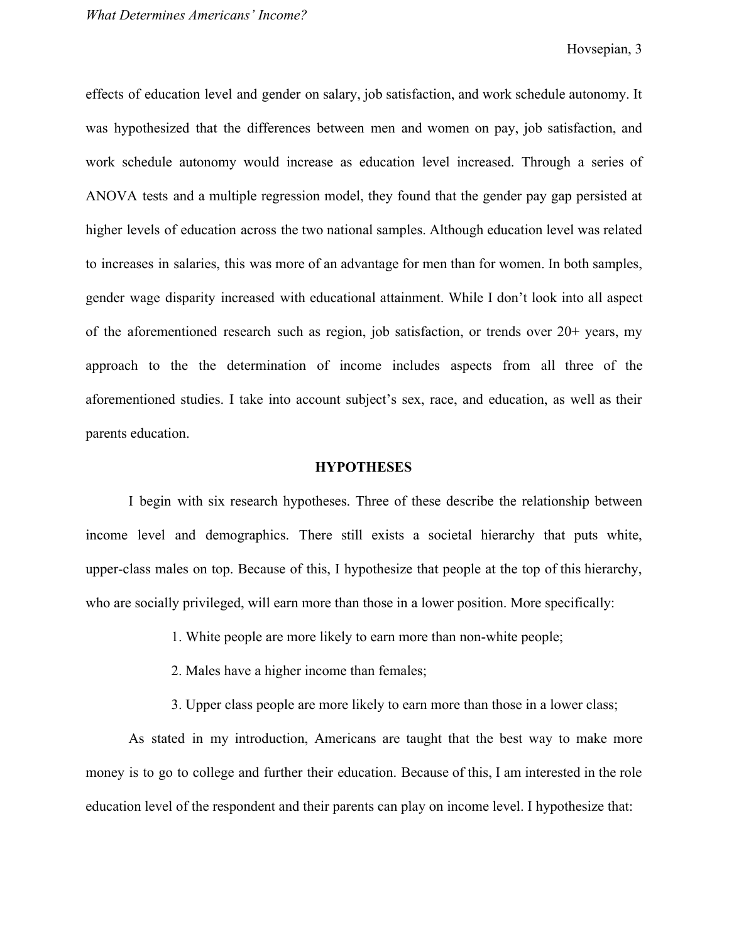effects of education level and gender on salary, job satisfaction, and work schedule autonomy. It was hypothesized that the differences between men and women on pay, job satisfaction, and work schedule autonomy would increase as education level increased. Through a series of ANOVA tests and a multiple regression model, they found that the gender pay gap persisted at higher levels of education across the two national samples. Although education level was related to increases in salaries, this was more of an advantage for men than for women. In both samples, gender wage disparity increased with educational attainment. While I don't look into all aspect of the aforementioned research such as region, job satisfaction, or trends over 20+ years, my approach to the the determination of income includes aspects from all three of the aforementioned studies. I take into account subject's sex, race, and education, as well as their parents education.

#### **HYPOTHESES**

I begin with six research hypotheses. Three of these describe the relationship between income level and demographics. There still exists a societal hierarchy that puts white, upper-class males on top. Because of this, I hypothesize that people at the top of this hierarchy, who are socially privileged, will earn more than those in a lower position. More specifically:

- 1. White people are more likely to earn more than non-white people;
- 2. Males have a higher income than females;
- 3. Upper class people are more likely to earn more than those in a lower class;

As stated in my introduction, Americans are taught that the best way to make more money is to go to college and further their education. Because of this, I am interested in the role education level of the respondent and their parents can play on income level. I hypothesize that: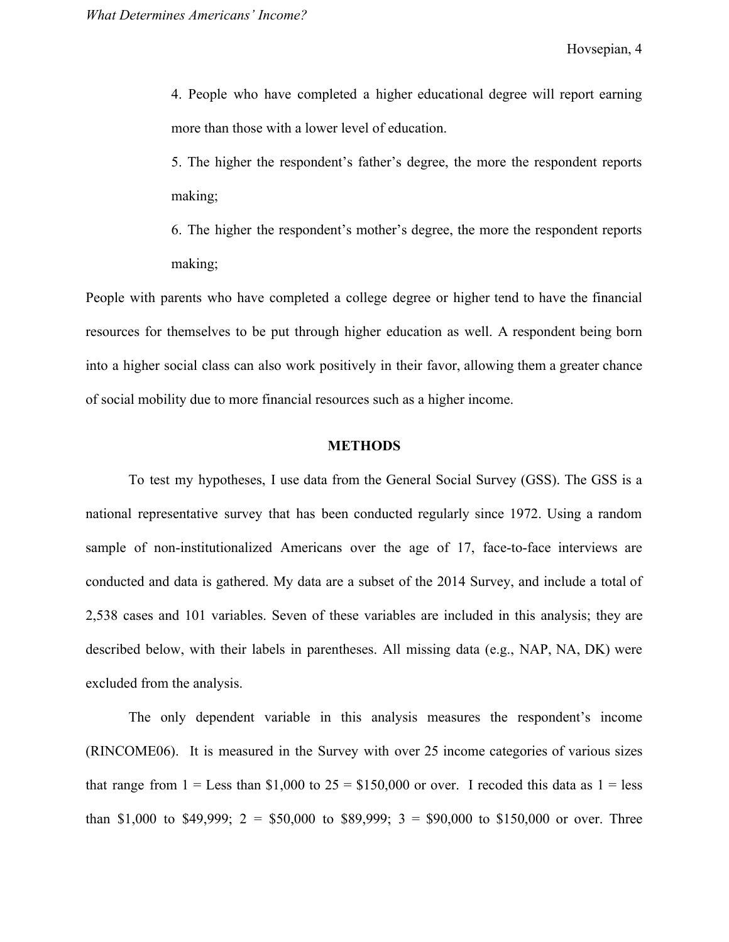4. People who have completed a higher educational degree will report earning more than those with a lower level of education.

5. The higher the respondent's father's degree, the more the respondent reports making;

6. The higher the respondent's mother's degree, the more the respondent reports making;

People with parents who have completed a college degree or higher tend to have the financial resources for themselves to be put through higher education as well. A respondent being born into a higher social class can also work positively in their favor, allowing them a greater chance of social mobility due to more financial resources such as a higher income.

### **METHODS**

To test my hypotheses, I use data from the General Social Survey (GSS). The GSS is a national representative survey that has been conducted regularly since 1972. Using a random sample of non-institutionalized Americans over the age of 17, face-to-face interviews are conducted and data is gathered. My data are a subset of the 2014 Survey, and include a total of 2,538 cases and 101 variables. Seven of these variables are included in this analysis; they are described below, with their labels in parentheses. All missing data (e.g., NAP, NA, DK) were excluded from the analysis.

The only dependent variable in this analysis measures the respondent's income (RINCOME06). It is measured in the Survey with over 25 income categories of various sizes that range from  $1 =$  Less than \$1,000 to  $25 =$  \$150,000 or over. I recoded this data as  $1 =$  less than \$1,000 to \$49,999;  $2 = $50,000$  to \$89,999;  $3 = $90,000$  to \$150,000 or over. Three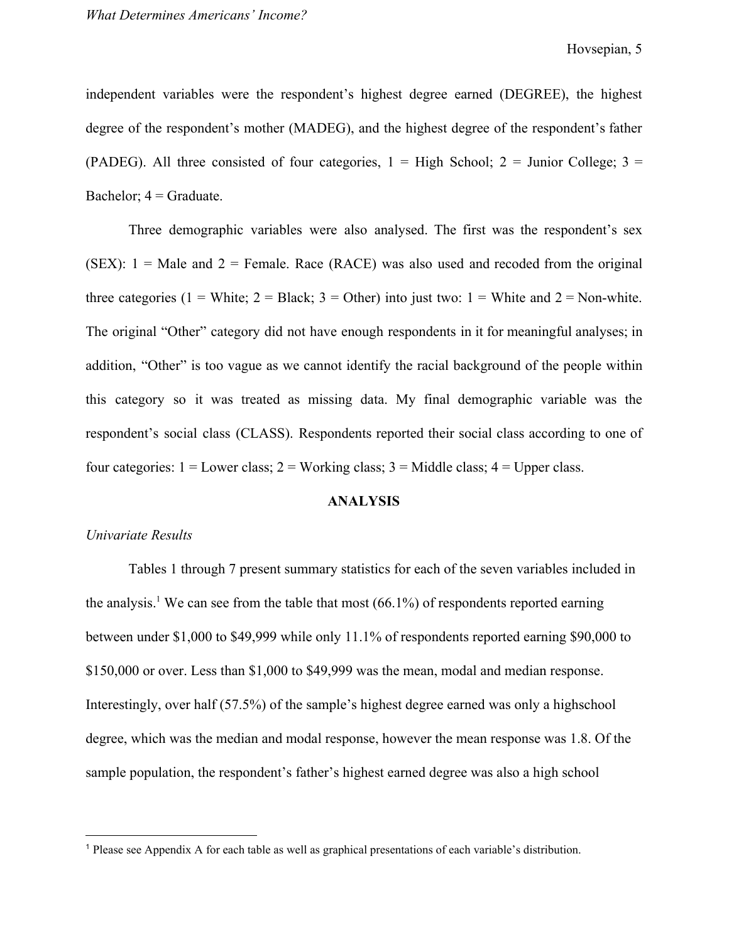independent variables were the respondent's highest degree earned (DEGREE), the highest degree of the respondent's mother (MADEG), and the highest degree of the respondent's father (PADEG). All three consisted of four categories,  $1 =$  High School;  $2 =$  Junior College;  $3 =$ Bachelor;  $4 =$  Graduate.

Three demographic variables were also analysed. The first was the respondent's sex (SEX):  $1 =$  Male and  $2 =$  Female. Race (RACE) was also used and recoded from the original three categories (1 = White; 2 = Black; 3 = Other) into just two: 1 = White and 2 = Non-white. The original "Other" category did not have enough respondents in it for meaningful analyses; in addition, "Other" is too vague as we cannot identify the racial background of the people within this category so it was treated as missing data. My final demographic variable was the respondent's social class (CLASS). Respondents reported their social class according to one of four categories:  $1 =$  Lower class;  $2 =$  Working class;  $3 =$  Middle class;  $4 =$  Upper class.

### **ANALYSIS**

#### *Univariate Results*

Tables 1 through 7 present summary statistics for each of the seven variables included in the analysis.<sup>1</sup> We can see from the table that most  $(66.1\%)$  of respondents reported earning between under \$1,000 to \$49,999 while only 11.1% of respondents reported earning \$90,000 to \$150,000 or over. Less than \$1,000 to \$49,999 was the mean, modal and median response. Interestingly, over half (57.5%) of the sample's highest degree earned was only a highschool degree, which was the median and modal response, however the mean response was 1.8. Of the sample population, the respondent's father's highest earned degree was also a high school

<sup>1</sup> Please see Appendix A for each table as well as graphical presentations of each variable's distribution.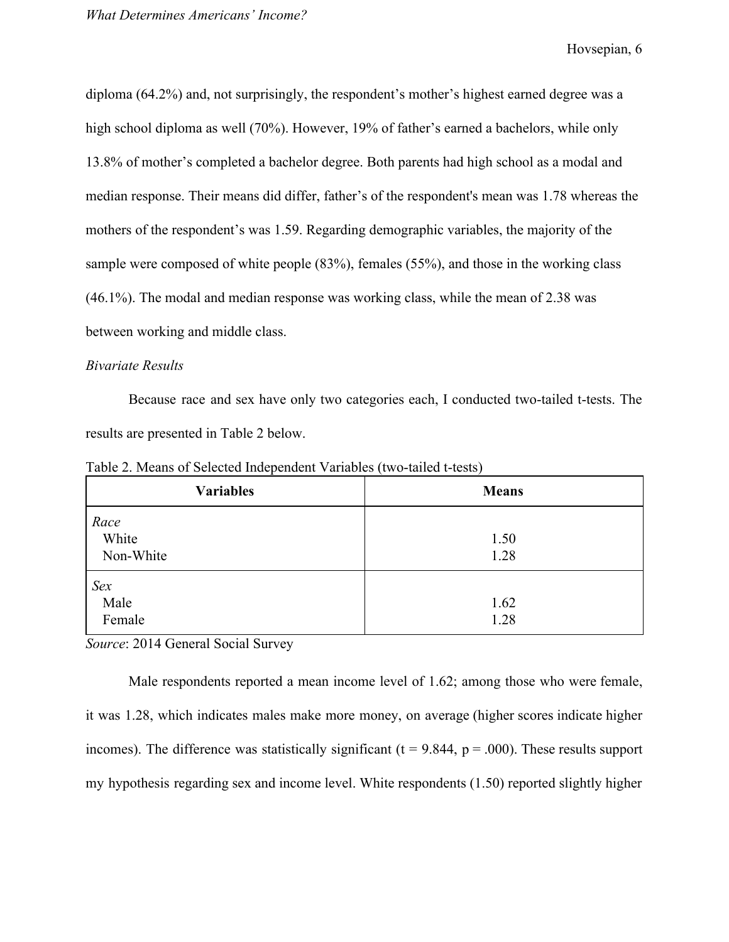Hovsepian, 6

diploma (64.2%) and, not surprisingly, the respondent's mother's highest earned degree was a high school diploma as well (70%). However, 19% of father's earned a bachelors, while only 13.8% of mother's completed a bachelor degree. Both parents had high school as a modal and median response. Their means did differ, father's of the respondent's mean was 1.78 whereas the mothers of the respondent's was 1.59. Regarding demographic variables, the majority of the sample were composed of white people (83%), females (55%), and those in the working class (46.1%). The modal and median response was working class, while the mean of 2.38 was between working and middle class.

### *Bivariate Results*

Because race and sex have only two categories each, I conducted two-tailed t-tests. The results are presented in Table 2 below.

Table 2. Means of Selected Independent Variables (two-tailed t-tests)

| <b>Variables</b>           | <b>Means</b> |
|----------------------------|--------------|
| Race<br>White<br>Non-White | 1.50<br>1.28 |
| Sex<br>Male<br>Female      | 1.62<br>1.28 |

*Source*: 2014 General Social Survey

Male respondents reported a mean income level of 1.62; among those who were female, it was 1.28, which indicates males make more money, on average (higher scores indicate higher incomes). The difference was statistically significant ( $t = 9.844$ ,  $p = .000$ ). These results support my hypothesis regarding sex and income level. White respondents (1.50) reported slightly higher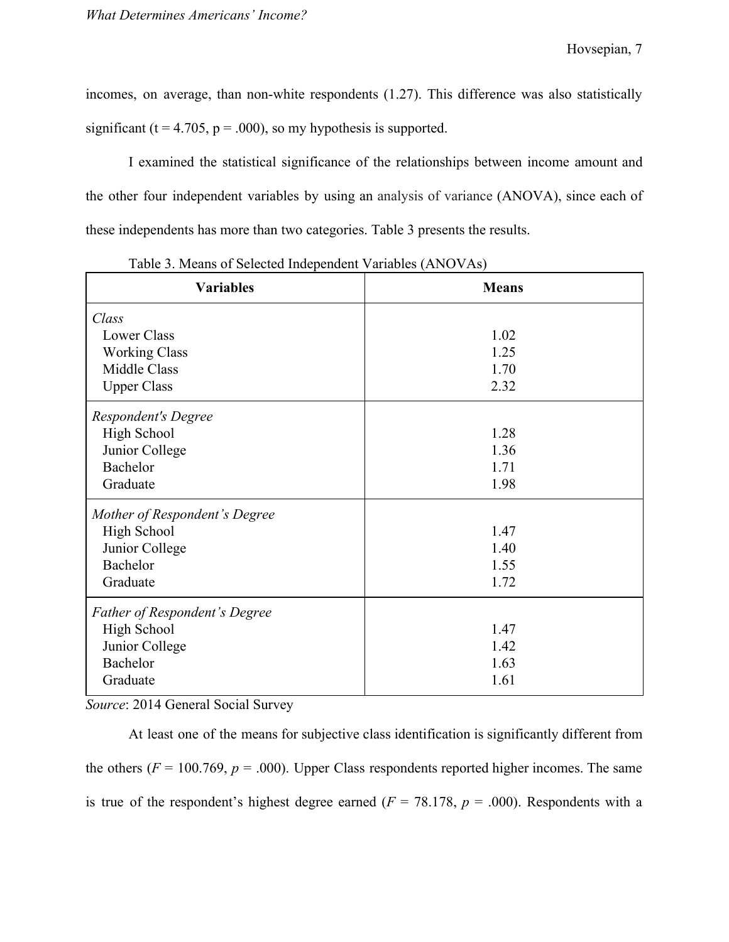incomes, on average, than non-white respondents (1.27). This difference was also statistically significant ( $t = 4.705$ ,  $p = .000$ ), so my hypothesis is supported.

I examined the statistical significance of the relationships between income amount and the other four independent variables by using an analysis of variance (ANOVA), since each of these independents has more than two categories. Table 3 presents the results.

| <b>Variables</b>              | <b>Means</b> |
|-------------------------------|--------------|
| Class                         |              |
| <b>Lower Class</b>            | 1.02         |
| <b>Working Class</b>          | 1.25         |
| Middle Class                  | 1.70         |
| <b>Upper Class</b>            | 2.32         |
| Respondent's Degree           |              |
| <b>High School</b>            | 1.28         |
| Junior College                | 1.36         |
| Bachelor                      | 1.71         |
| Graduate                      | 1.98         |
| Mother of Respondent's Degree |              |
| <b>High School</b>            | 1.47         |
| Junior College                | 1.40         |
| Bachelor                      | 1.55         |
| Graduate                      | 1.72         |
| Father of Respondent's Degree |              |
| <b>High School</b>            | 1.47         |
| Junior College                | 1.42         |
| Bachelor                      | 1.63         |
| Graduate                      | 1.61         |

Table 3. Means of Selected Independent Variables (ANOVAs)

*Source*: 2014 General Social Survey

At least one of the means for subjective class identification is significantly different from the others  $(F = 100.769, p = .000)$ . Upper Class respondents reported higher incomes. The same is true of the respondent's highest degree earned ( $F = 78.178$ ,  $p = .000$ ). Respondents with a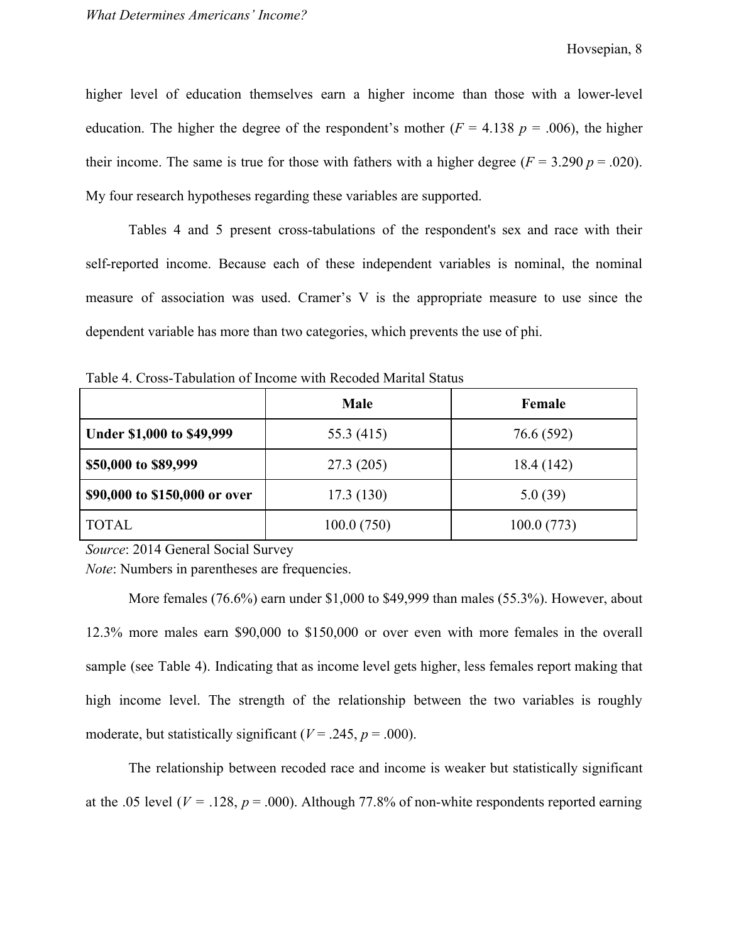higher level of education themselves earn a higher income than those with a lower-level education. The higher the degree of the respondent's mother ( $F = 4.138$   $p = .006$ ), the higher their income. The same is true for those with fathers with a higher degree  $(F = 3.290 p = .020)$ . My four research hypotheses regarding these variables are supported.

Tables 4 and 5 present cross-tabulations of the respondent's sex and race with their self-reported income. Because each of these independent variables is nominal, the nominal measure of association was used. Cramer's V is the appropriate measure to use since the dependent variable has more than two categories, which prevents the use of phi.

|                               | <b>Male</b> | Female     |
|-------------------------------|-------------|------------|
| Under \$1,000 to \$49,999     | 55.3 (415)  | 76.6 (592) |
| \$50,000 to \$89,999          | 27.3(205)   | 18.4 (142) |
| \$90,000 to \$150,000 or over | 17.3(130)   | 5.0(39)    |
| <b>TOTAL</b>                  | 100.0(750)  | 100.0(773) |

Table 4. Cross-Tabulation of Income with Recoded Marital Status

*Source*: 2014 General Social Survey

*Note*: Numbers in parentheses are frequencies.

More females (76.6%) earn under \$1,000 to \$49,999 than males (55.3%). However, about 12.3% more males earn \$90,000 to \$150,000 or over even with more females in the overall sample (see Table 4). Indicating that as income level gets higher, less females report making that high income level. The strength of the relationship between the two variables is roughly moderate, but statistically significant ( $V = .245$ ,  $p = .000$ ).

The relationship between recoded race and income is weaker but statistically significant at the .05 level ( $V = .128$ ,  $p = .000$ ). Although 77.8% of non-white respondents reported earning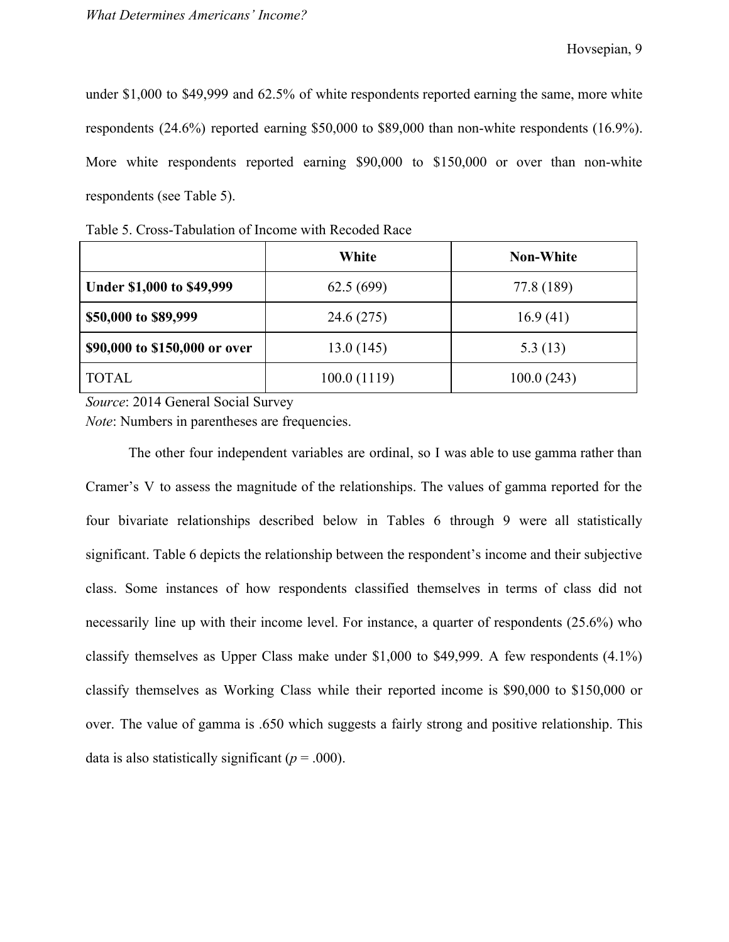under \$1,000 to \$49,999 and 62.5% of white respondents reported earning the same, more white respondents (24.6%) reported earning \$50,000 to \$89,000 than non-white respondents (16.9%). More white respondents reported earning \$90,000 to \$150,000 or over than non-white respondents (see Table 5).

|                               | White       | <b>Non-White</b> |
|-------------------------------|-------------|------------------|
| Under \$1,000 to \$49,999     | 62.5(699)   | 77.8 (189)       |
| \$50,000 to \$89,999          | 24.6 (275)  | 16.9(41)         |
| \$90,000 to \$150,000 or over | 13.0(145)   | 5.3(13)          |
| <b>TOTAL</b>                  | 100.0(1119) | 100.0(243)       |

Table 5. Cross-Tabulation of Income with Recoded Race

*Source*: 2014 General Social Survey

*Note*: Numbers in parentheses are frequencies.

The other four independent variables are ordinal, so I was able to use gamma rather than Cramer's V to assess the magnitude of the relationships. The values of gamma reported for the four bivariate relationships described below in Tables 6 through 9 were all statistically significant. Table 6 depicts the relationship between the respondent's income and their subjective class. Some instances of how respondents classified themselves in terms of class did not necessarily line up with their income level. For instance, a quarter of respondents (25.6%) who classify themselves as Upper Class make under \$1,000 to \$49,999. A few respondents (4.1%) classify themselves as Working Class while their reported income is \$90,000 to \$150,000 or over. The value of gamma is .650 which suggests a fairly strong and positive relationship. This data is also statistically significant ( $p = .000$ ).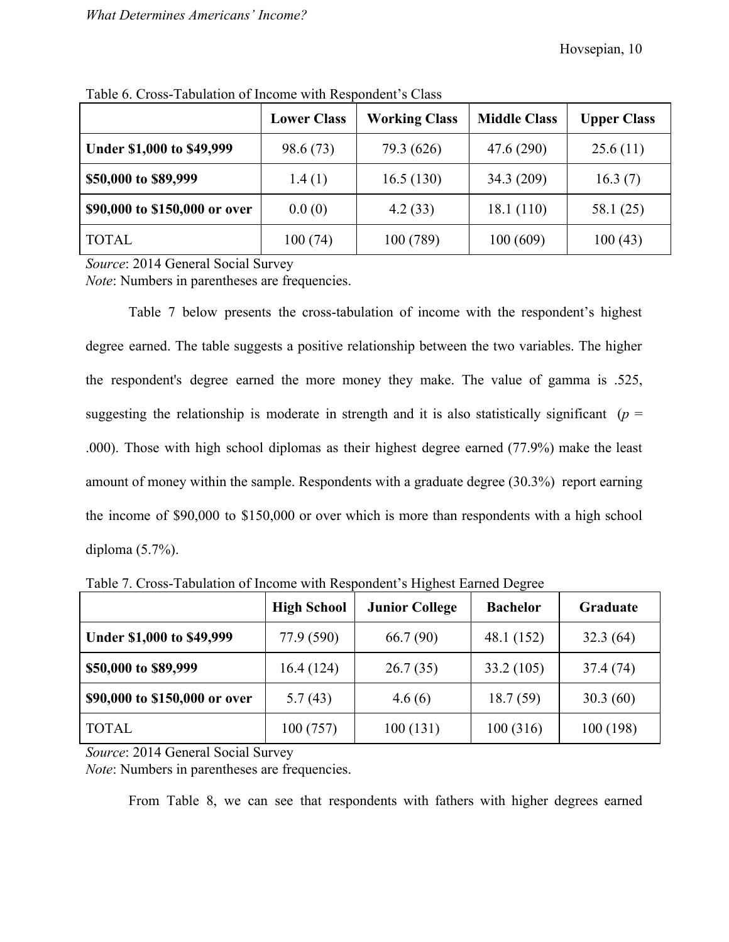|                               | <b>Lower Class</b> | <b>Working Class</b> | <b>Middle Class</b> | <b>Upper Class</b> |
|-------------------------------|--------------------|----------------------|---------------------|--------------------|
| Under \$1,000 to \$49,999     | 98.6 (73)          | 79.3 (626)           | 47.6 (290)          | 25.6(11)           |
| \$50,000 to \$89,999          | 1.4(1)             | 16.5(130)            | 34.3(209)           | 16.3(7)            |
| \$90,000 to \$150,000 or over | 0.0(0)             | 4.2(33)              | 18.1(110)           | 58.1 (25)          |
| <b>TOTAL</b>                  | 100(74)            | 100 (789)            | 100(609)            | 100(43)            |

Table 6. Cross-Tabulation of Income with Respondent's Class

*Source*: 2014 General Social Survey

*Note*: Numbers in parentheses are frequencies.

Table 7 below presents the cross-tabulation of income with the respondent's highest degree earned. The table suggests a positive relationship between the two variables. The higher the respondent's degree earned the more money they make. The value of gamma is .525, suggesting the relationship is moderate in strength and it is also statistically significant ( $p =$ .000). Those with high school diplomas as their highest degree earned (77.9%) make the least amount of money within the sample. Respondents with a graduate degree (30.3%) report earning the income of \$90,000 to \$150,000 or over which is more than respondents with a high school diploma (5.7%).

| Twore 1. Closs Twommon of hiering with responsent strighter Ballies Degree |                    |                       |                 |           |
|----------------------------------------------------------------------------|--------------------|-----------------------|-----------------|-----------|
|                                                                            | <b>High School</b> | <b>Junior College</b> | <b>Bachelor</b> | Graduate  |
| Under \$1,000 to \$49,999                                                  | 77.9 (590)         | 66.7 (90)             | 48.1 (152)      | 32.3(64)  |
| \$50,000 to \$89,999                                                       | 16.4(124)          | 26.7(35)              | 33.2(105)       | 37.4 (74) |
| \$90,000 to \$150,000 or over                                              | 5.7(43)            | 4.6(6)                | 18.7(59)        | 30.3(60)  |
| <b>TOTAL</b>                                                               | 100(757)           | 100(131)              | 100(316)        | 100 (198) |

Table 7. Cross-Tabulation of Income with Respondent's Highest Earned Degree

*Source*: 2014 General Social Survey

*Note*: Numbers in parentheses are frequencies.

From Table 8, we can see that respondents with fathers with higher degrees earned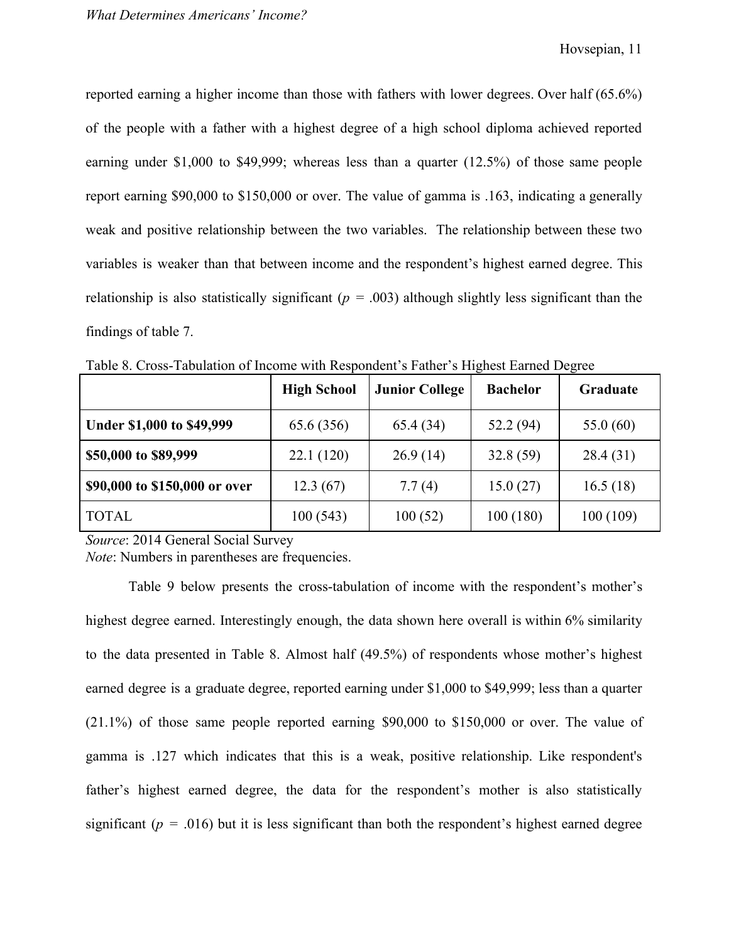reported earning a higher income than those with fathers with lower degrees. Over half (65.6%) of the people with a father with a highest degree of a high school diploma achieved reported earning under \$1,000 to \$49,999; whereas less than a quarter (12.5%) of those same people report earning \$90,000 to \$150,000 or over. The value of gamma is .163, indicating a generally weak and positive relationship between the two variables. The relationship between these two variables is weaker than that between income and the respondent's highest earned degree. This relationship is also statistically significant ( $p = .003$ ) although slightly less significant than the findings of table 7.

|                               | <b>High School</b> | <b>Junior College</b> | <b>Bachelor</b> | Graduate    |
|-------------------------------|--------------------|-----------------------|-----------------|-------------|
| Under \$1,000 to \$49,999     | 65.6 (356)         | 65.4 (34)             | 52.2 (94)       | 55.0 $(60)$ |
| \$50,000 to \$89,999          | 22.1(120)          | 26.9(14)              | 32.8(59)        | 28.4 (31)   |
| \$90,000 to \$150,000 or over | 12.3(67)           | 7.7(4)                | 15.0(27)        | 16.5(18)    |
| <b>TOTAL</b>                  | 100(543)           | 100(52)               | 100(180)        | 100(109)    |

Table 8. Cross-Tabulation of Income with Respondent's Father's Highest Earned Degree

*Source*: 2014 General Social Survey

*Note*: Numbers in parentheses are frequencies.

Table 9 below presents the cross-tabulation of income with the respondent's mother's highest degree earned. Interestingly enough, the data shown here overall is within 6% similarity to the data presented in Table 8. Almost half (49.5%) of respondents whose mother's highest earned degree is a graduate degree, reported earning under \$1,000 to \$49,999; less than a quarter (21.1%) of those same people reported earning \$90,000 to \$150,000 or over. The value of gamma is .127 which indicates that this is a weak, positive relationship. Like respondent's father's highest earned degree, the data for the respondent's mother is also statistically significant ( $p = .016$ ) but it is less significant than both the respondent's highest earned degree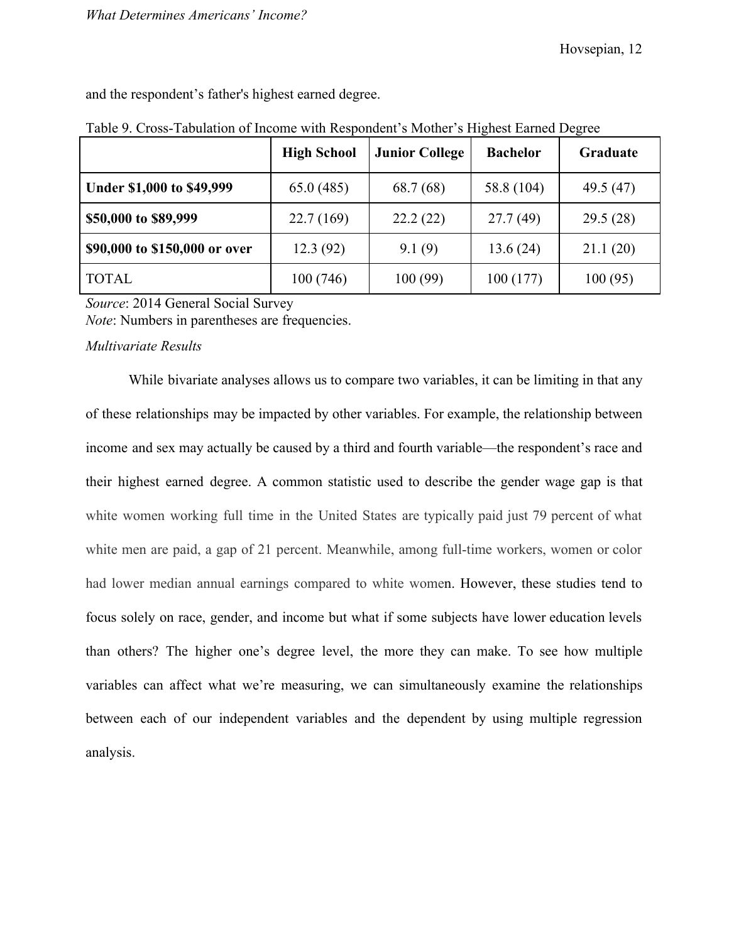| and the respondent's father's highest earned degree. |  |
|------------------------------------------------------|--|
|------------------------------------------------------|--|

|                               | <b>High School</b> | <b>Junior College</b> | <b>Bachelor</b> | ັ<br>Graduate |
|-------------------------------|--------------------|-----------------------|-----------------|---------------|
| Under \$1,000 to \$49,999     | 65.0(485)          | 68.7 (68)             | 58.8 (104)      | 49.5 (47)     |
| \$50,000 to \$89,999          | 22.7(169)          | 22.2(22)              | 27.7(49)        | 29.5(28)      |
| \$90,000 to \$150,000 or over | 12.3(92)           | 9.1(9)                | 13.6(24)        | 21.1(20)      |
| <b>TOTAL</b>                  | 100(746)           | 100(99)               | 100(177)        | 100(95)       |

Table 9. Cross-Tabulation of Income with Respondent's Mother's Highest Earned Degree

*Source*: 2014 General Social Survey

*Note*: Numbers in parentheses are frequencies.

### *Multivariate Results*

While bivariate analyses allows us to compare two variables, it can be limiting in that any of these relationships may be impacted by other variables. For example, the relationship between income and sex may actually be caused by a third and fourth variable—the respondent's race and their highest earned degree. A common statistic used to describe the gender wage gap is that white women working full time in the United States are typically paid just 79 percent of what white men are paid, a gap of 21 percent. Meanwhile, among full-time workers, women or color had lower median annual earnings compared to white women. However, these studies tend to focus solely on race, gender, and income but what if some subjects have lower education levels than others? The higher one's degree level, the more they can make. To see how multiple variables can affect what we're measuring, we can simultaneously examine the relationships between each of our independent variables and the dependent by using multiple regression analysis.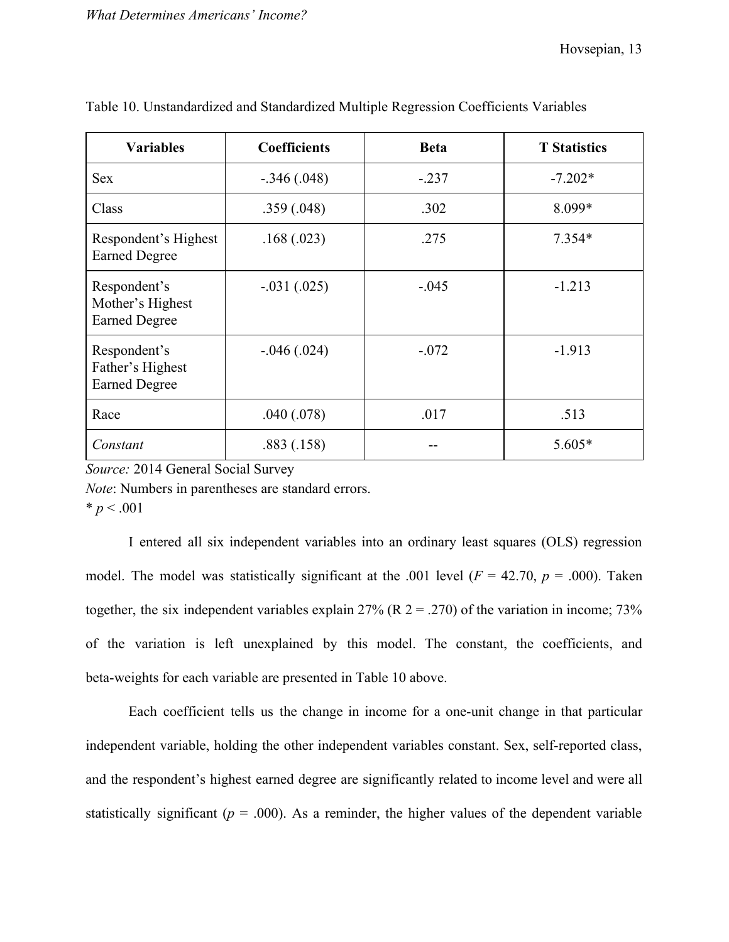| <b>Variables</b>                                         | <b>Coefficients</b> | <b>Beta</b> | <b>T</b> Statistics |
|----------------------------------------------------------|---------------------|-------------|---------------------|
| <b>Sex</b>                                               | $-.346(.048)$       | $-.237$     | $-7.202*$           |
| Class                                                    | .359(.048)          | .302        | 8.099*              |
| Respondent's Highest<br><b>Earned Degree</b>             | .168(.023)          | .275        | $7.354*$            |
| Respondent's<br>Mother's Highest<br><b>Earned Degree</b> | $-.031(.025)$       | $-.045$     | $-1.213$            |
| Respondent's<br>Father's Highest<br><b>Earned Degree</b> | $-0.046(0.024)$     | $-.072$     | $-1.913$            |
| Race                                                     | .040(.078)          | .017        | .513                |
| Constant                                                 | .883(.158)          |             | 5.605*              |

|  |  | Table 10. Unstandardized and Standardized Multiple Regression Coefficients Variables |  |
|--|--|--------------------------------------------------------------------------------------|--|
|  |  |                                                                                      |  |

*Source:* 2014 General Social Survey

*Note*: Numbers in parentheses are standard errors.

 $* p < .001$ 

I entered all six independent variables into an ordinary least squares (OLS) regression model. The model was statistically significant at the .001 level ( $F = 42.70$ ,  $p = .000$ ). Taken together, the six independent variables explain  $27\%$  (R  $2 = .270$ ) of the variation in income; 73% of the variation is left unexplained by this model. The constant, the coefficients, and beta-weights for each variable are presented in Table 10 above.

Each coefficient tells us the change in income for a one-unit change in that particular independent variable, holding the other independent variables constant. Sex, self-reported class, and the respondent's highest earned degree are significantly related to income level and were all statistically significant ( $p = .000$ ). As a reminder, the higher values of the dependent variable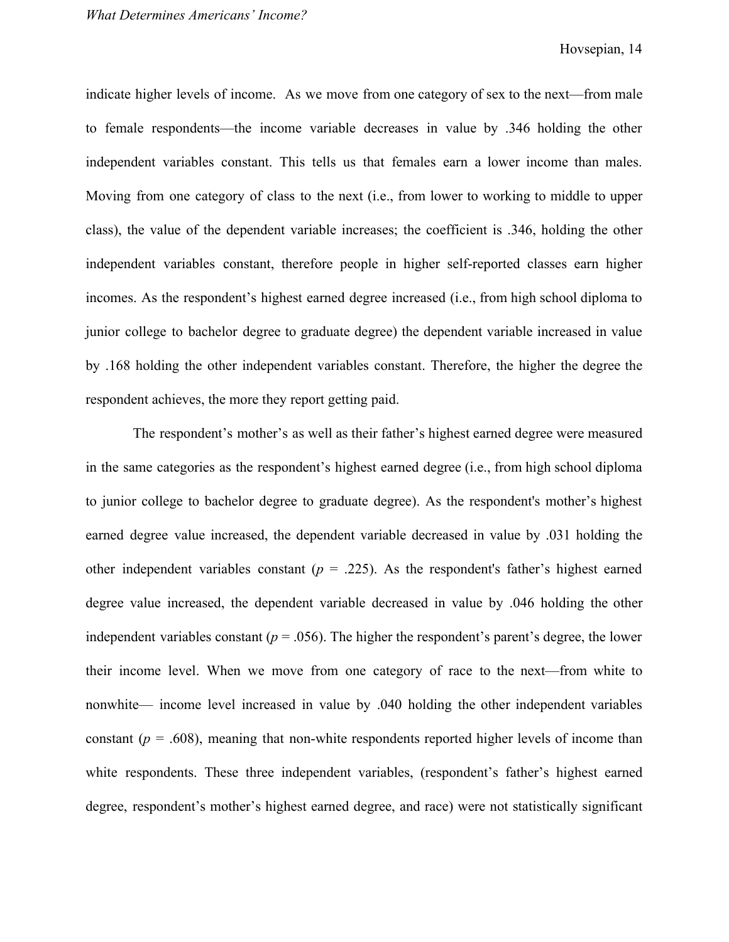indicate higher levels of income. As we move from one category of sex to the next—from male to female respondents—the income variable decreases in value by .346 holding the other independent variables constant. This tells us that females earn a lower income than males. Moving from one category of class to the next (i.e., from lower to working to middle to upper class), the value of the dependent variable increases; the coefficient is .346, holding the other independent variables constant, therefore people in higher self-reported classes earn higher incomes. As the respondent's highest earned degree increased (i.e., from high school diploma to junior college to bachelor degree to graduate degree) the dependent variable increased in value by .168 holding the other independent variables constant. Therefore, the higher the degree the respondent achieves, the more they report getting paid.

The respondent's mother's as well as their father's highest earned degree were measured in the same categories as the respondent's highest earned degree (i.e., from high school diploma to junior college to bachelor degree to graduate degree). As the respondent's mother's highest earned degree value increased, the dependent variable decreased in value by .031 holding the other independent variables constant  $(p = .225)$ . As the respondent's father's highest earned degree value increased, the dependent variable decreased in value by .046 holding the other independent variables constant ( $p = .056$ ). The higher the respondent's parent's degree, the lower their income level. When we move from one category of race to the next—from white to nonwhite— income level increased in value by .040 holding the other independent variables constant ( $p = .608$ ), meaning that non-white respondents reported higher levels of income than white respondents. These three independent variables, (respondent's father's highest earned degree, respondent's mother's highest earned degree, and race) were not statistically significant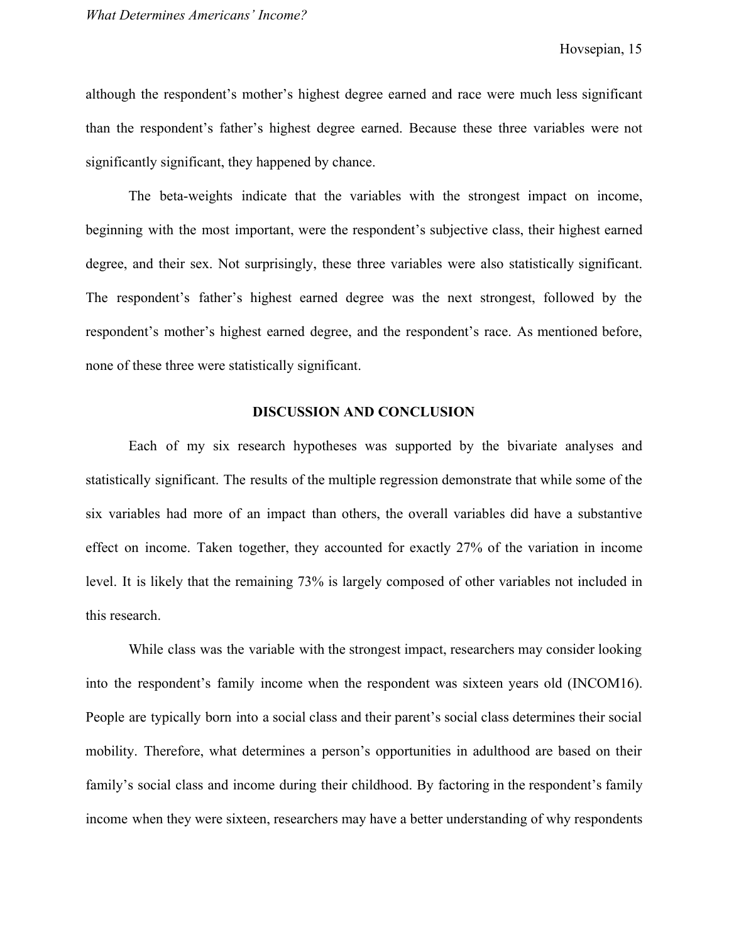although the respondent's mother's highest degree earned and race were much less significant than the respondent's father's highest degree earned. Because these three variables were not significantly significant, they happened by chance.

The beta-weights indicate that the variables with the strongest impact on income, beginning with the most important, were the respondent's subjective class, their highest earned degree, and their sex. Not surprisingly, these three variables were also statistically significant. The respondent's father's highest earned degree was the next strongest, followed by the respondent's mother's highest earned degree, and the respondent's race. As mentioned before, none of these three were statistically significant.

### **DISCUSSION AND CONCLUSION**

Each of my six research hypotheses was supported by the bivariate analyses and statistically significant. The results of the multiple regression demonstrate that while some of the six variables had more of an impact than others, the overall variables did have a substantive effect on income. Taken together, they accounted for exactly 27% of the variation in income level. It is likely that the remaining 73% is largely composed of other variables not included in this research.

While class was the variable with the strongest impact, researchers may consider looking into the respondent's family income when the respondent was sixteen years old (INCOM16). People are typically born into a social class and their parent's social class determines their social mobility. Therefore, what determines a person's opportunities in adulthood are based on their family's social class and income during their childhood. By factoring in the respondent's family income when they were sixteen, researchers may have a better understanding of why respondents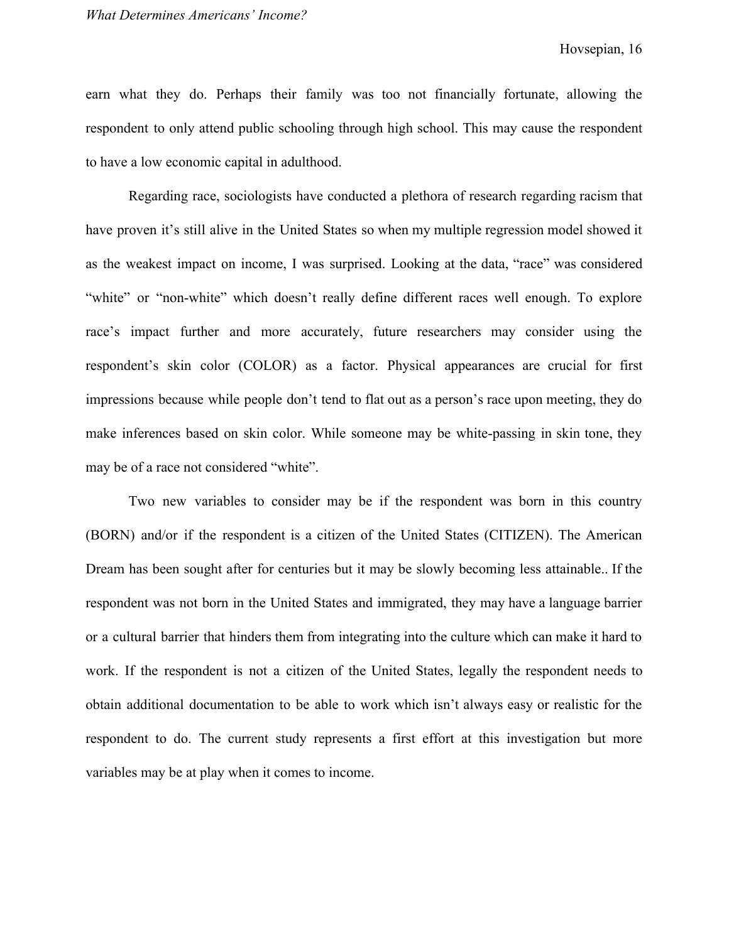earn what they do. Perhaps their family was too not financially fortunate, allowing the respondent to only attend public schooling through high school. This may cause the respondent to have a low economic capital in adulthood.

Regarding race, sociologists have conducted a plethora of research regarding racism that have proven it's still alive in the United States so when my multiple regression model showed it as the weakest impact on income, I was surprised. Looking at the data, "race" was considered "white" or "non-white" which doesn't really define different races well enough. To explore race's impact further and more accurately, future researchers may consider using the respondent's skin color (COLOR) as a factor. Physical appearances are crucial for first impressions because while people don't tend to flat out as a person's race upon meeting, they do make inferences based on skin color. While someone may be white-passing in skin tone, they may be of a race not considered "white".

Two new variables to consider may be if the respondent was born in this country (BORN) and/or if the respondent is a citizen of the United States (CITIZEN). The American Dream has been sought after for centuries but it may be slowly becoming less attainable.. If the respondent was not born in the United States and immigrated, they may have a language barrier or a cultural barrier that hinders them from integrating into the culture which can make it hard to work. If the respondent is not a citizen of the United States, legally the respondent needs to obtain additional documentation to be able to work which isn't always easy or realistic for the respondent to do. The current study represents a first effort at this investigation but more variables may be at play when it comes to income.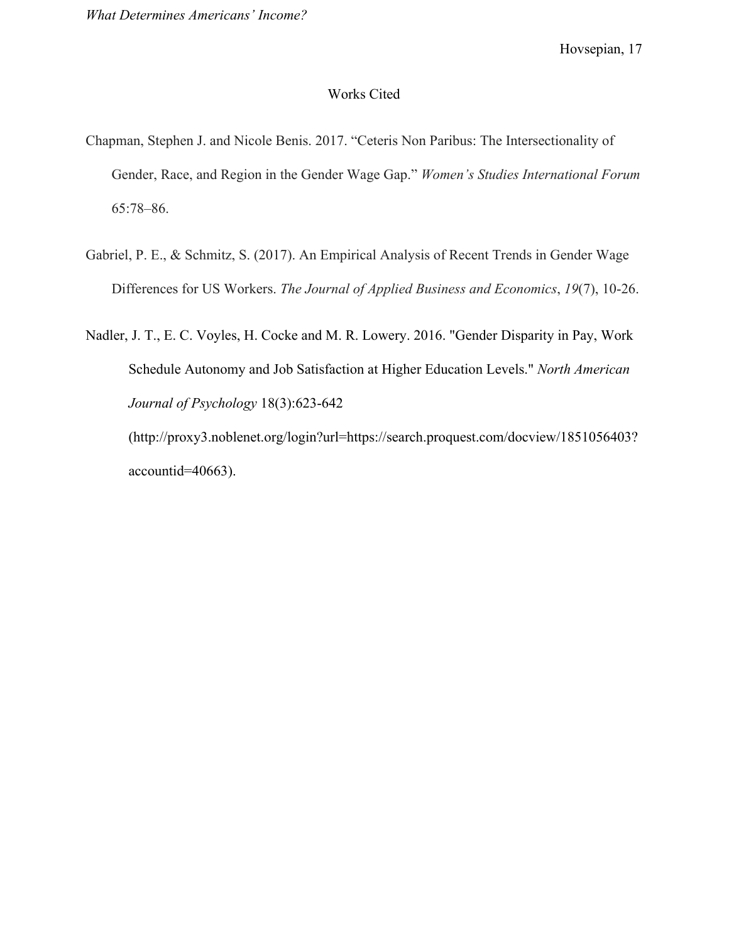## Works Cited

- Chapman, Stephen J. and Nicole Benis. 2017. "Ceteris Non Paribus: The Intersectionality of Gender, Race, and Region in the Gender Wage Gap." *Women's Studies International Forum* 65:78–86.
- Gabriel, P. E., & Schmitz, S. (2017). An Empirical Analysis of Recent Trends in Gender Wage Differences for US Workers. *The Journal of Applied Business and Economics*, *19*(7), 10-26.

Nadler, J. T., E. C. Voyles, H. Cocke and M. R. Lowery. 2016. "Gender Disparity in Pay, Work Schedule Autonomy and Job Satisfaction at Higher Education Levels." *North American Journal of Psychology* 18(3):623-642

(http://proxy3.noblenet.org/login?url=https://search.proquest.com/docview/1851056403? accountid=40663).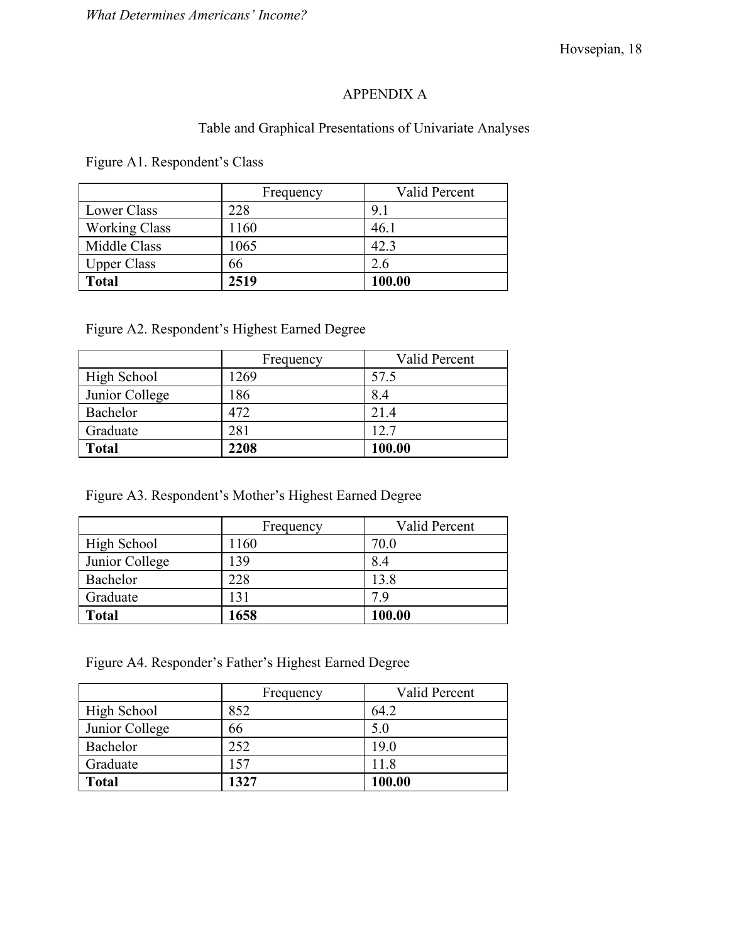# APPENDIX A

# Table and Graphical Presentations of Univariate Analyses

Figure A1. Respondent's Class

|                      | Frequency | Valid Percent |
|----------------------|-----------|---------------|
| Lower Class          | 228       | 91            |
| <b>Working Class</b> | 1160      | 46.1          |
| Middle Class         | 1065      | 42.3          |
| <b>Upper Class</b>   | 66        | 2.6           |
| <b>Total</b>         | 2519      | 100.00        |

Figure A2. Respondent's Highest Earned Degree

|                    | Frequency | Valid Percent |
|--------------------|-----------|---------------|
| <b>High School</b> | 1269      | 57.5          |
| Junior College     | 186       | 8.4           |
| Bachelor           | 472       | 21.4          |
| Graduate           | 281       | 12.7          |
| <b>Total</b>       | 2208      | 100.00        |

Figure A3. Respondent's Mother's Highest Earned Degree

|                | Frequency | Valid Percent |
|----------------|-----------|---------------|
| High School    | 1160      | 70.0          |
| Junior College | 139       | 8.4           |
| Bachelor       | 228       | 13.8          |
| Graduate       | 131       | 79            |
| <b>Total</b>   | 1658      | 100.00        |

Figure A4. Responder's Father's Highest Earned Degree

|                    | Frequency | Valid Percent |
|--------------------|-----------|---------------|
| <b>High School</b> | 852       | 64.2          |
| Junior College     | 66        | 5.0           |
| Bachelor           | 252       | 19.0          |
| Graduate           | 157       | 11.8          |
| <b>Total</b>       | 1327      | 100.00        |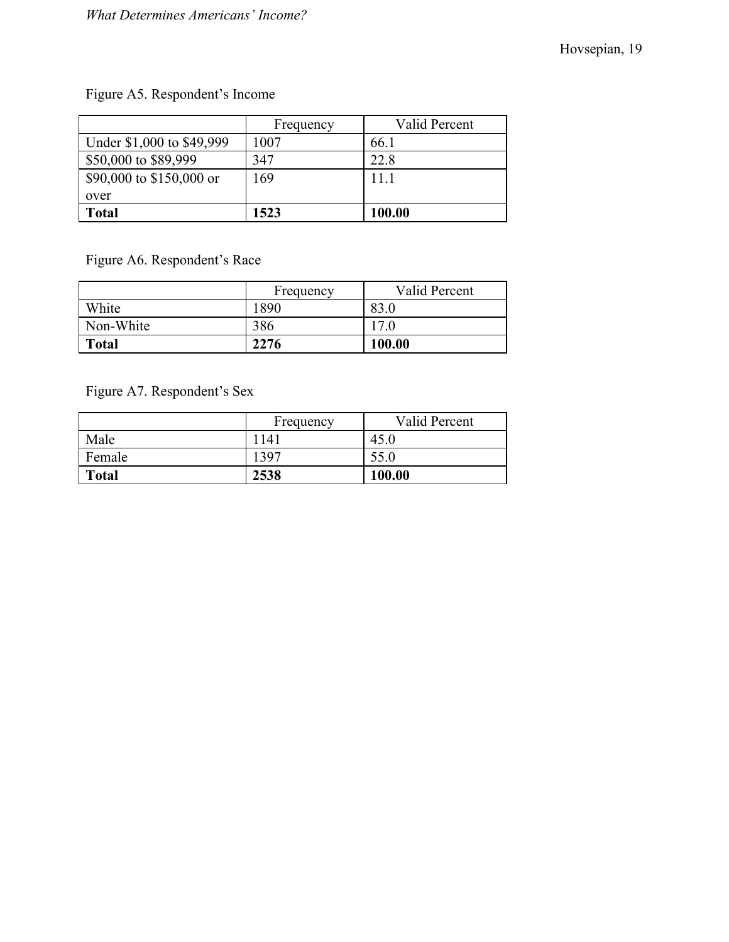# Figure A5. Respondent's Income

|                           | Frequency | Valid Percent |
|---------------------------|-----------|---------------|
| Under \$1,000 to \$49,999 | 1007      | 66.1          |
| \$50,000 to \$89,999      | 347       | 22.8          |
| \$90,000 to \$150,000 or  | 169       | 11 1          |
| over                      |           |               |
| <b>Total</b>              | 1523      | 100.00        |

Figure A6. Respondent's Race

|              | Frequency | Valid Percent |
|--------------|-----------|---------------|
| White        | 1890      | 83.0          |
| Non-White    | 386       | 17.0          |
| <b>Total</b> | 2276      | 100.00        |

Figure A7. Respondent's Sex

|              | Frequency | Valid Percent |
|--------------|-----------|---------------|
| Male         | 1141      | 45.0          |
| Female       | 1397      | 55.0          |
| <b>Total</b> | 2538      | 100.00        |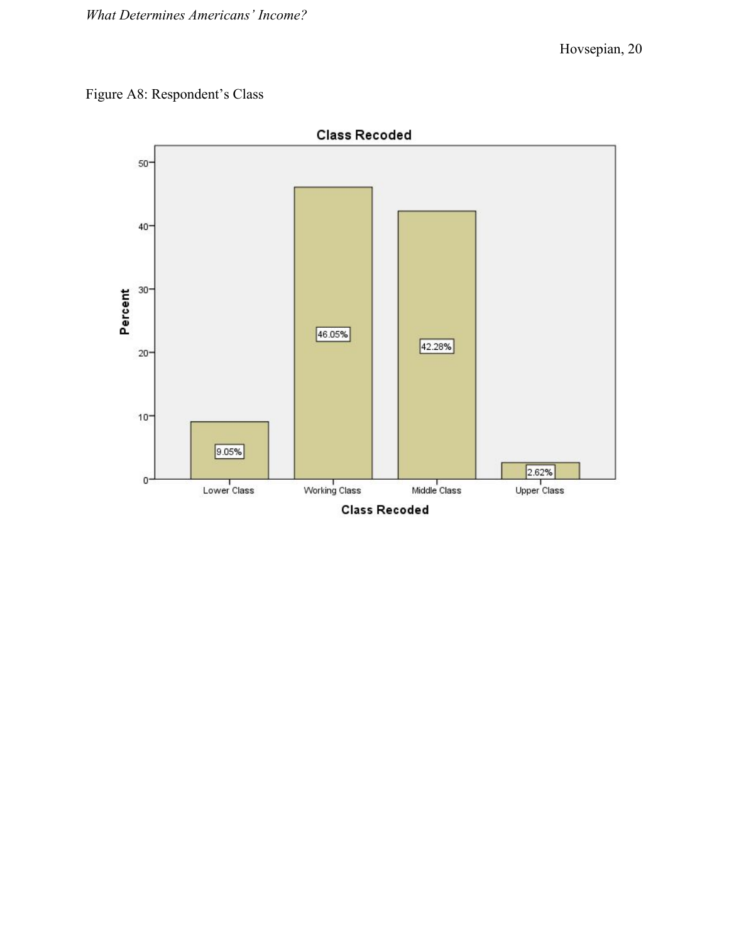# Figure A8: Respondent's Class

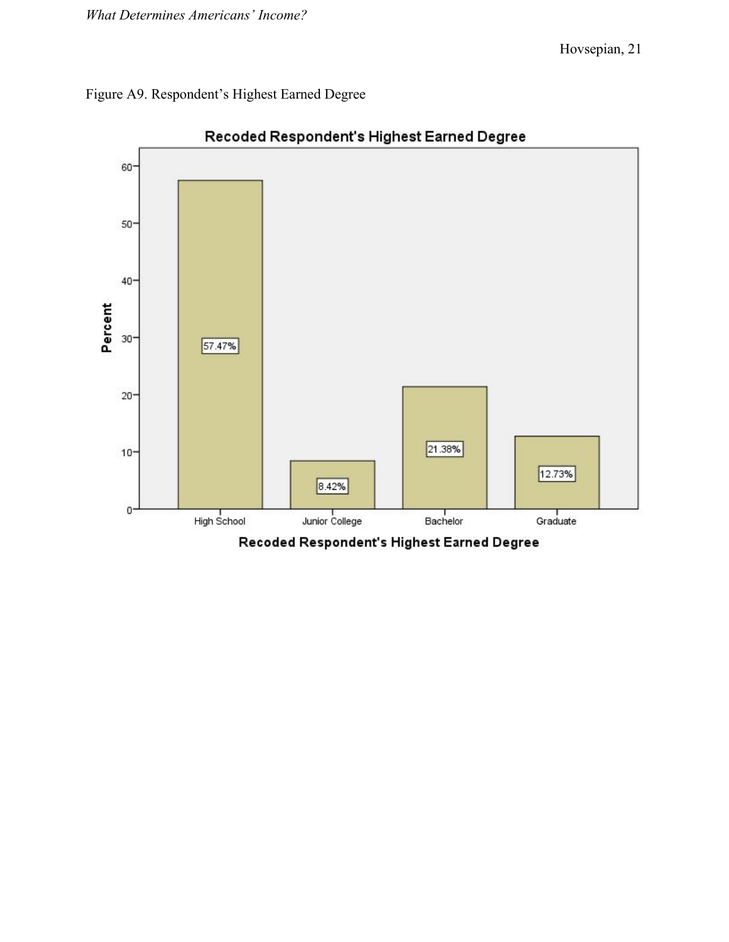



Recoded Respondent's Highest Earned Degree

Recoded Respondent's Highest Earned Degree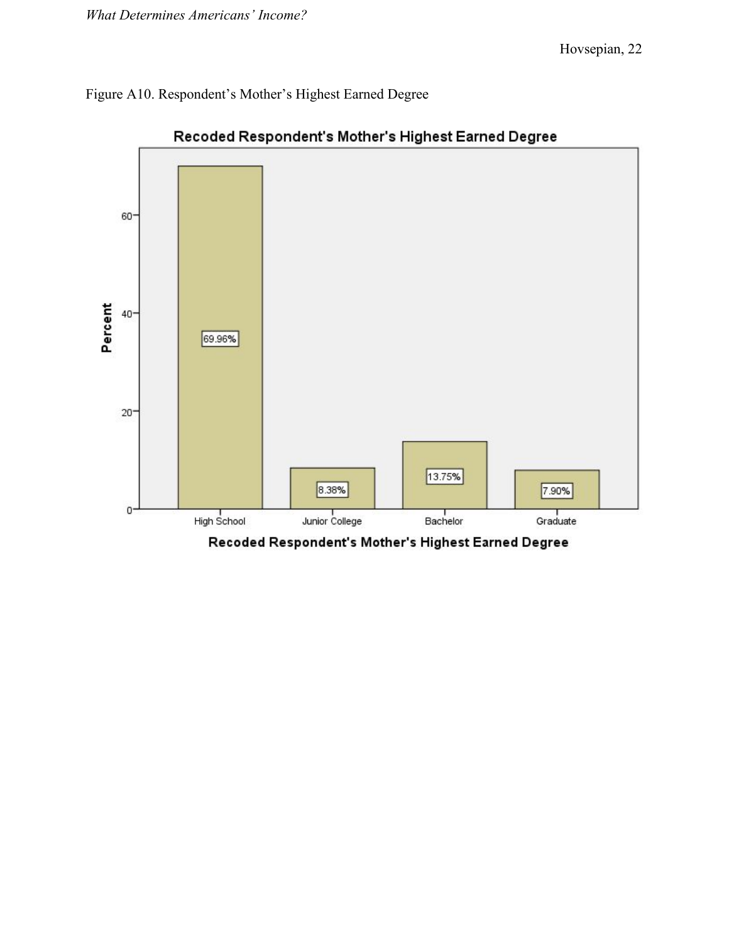Figure A10. Respondent's Mother's Highest Earned Degree



Recoded Respondent's Mother's Highest Earned Degree

Recoded Respondent's Mother's Highest Earned Degree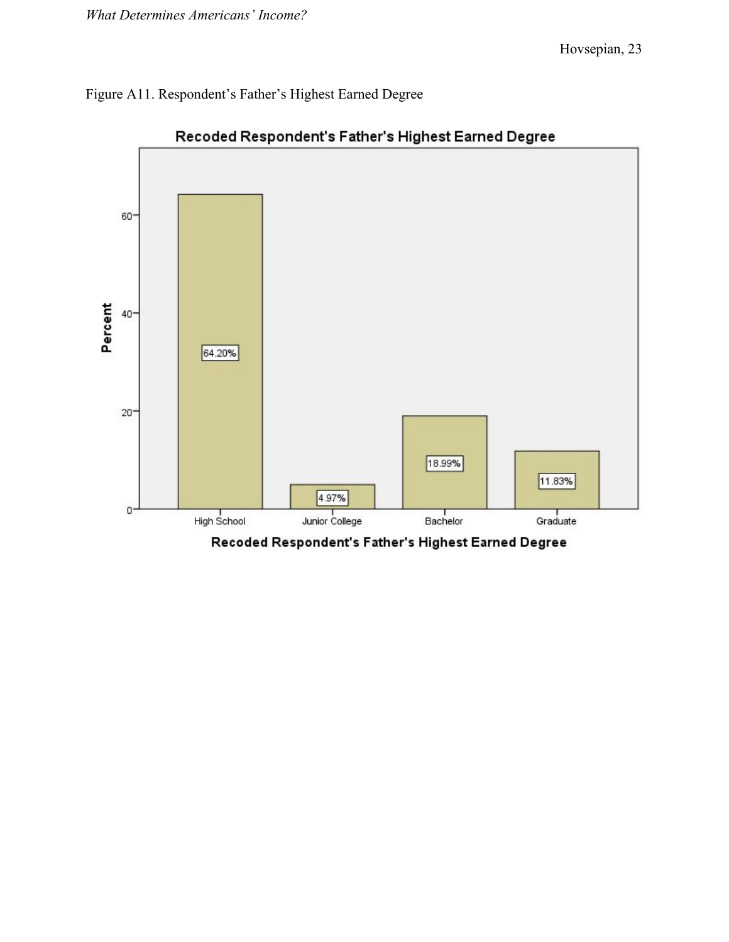# Figure A11. Respondent's Father's Highest Earned Degree



# Recoded Respondent's Father's Highest Earned Degree

Recoded Respondent's Father's Highest Earned Degree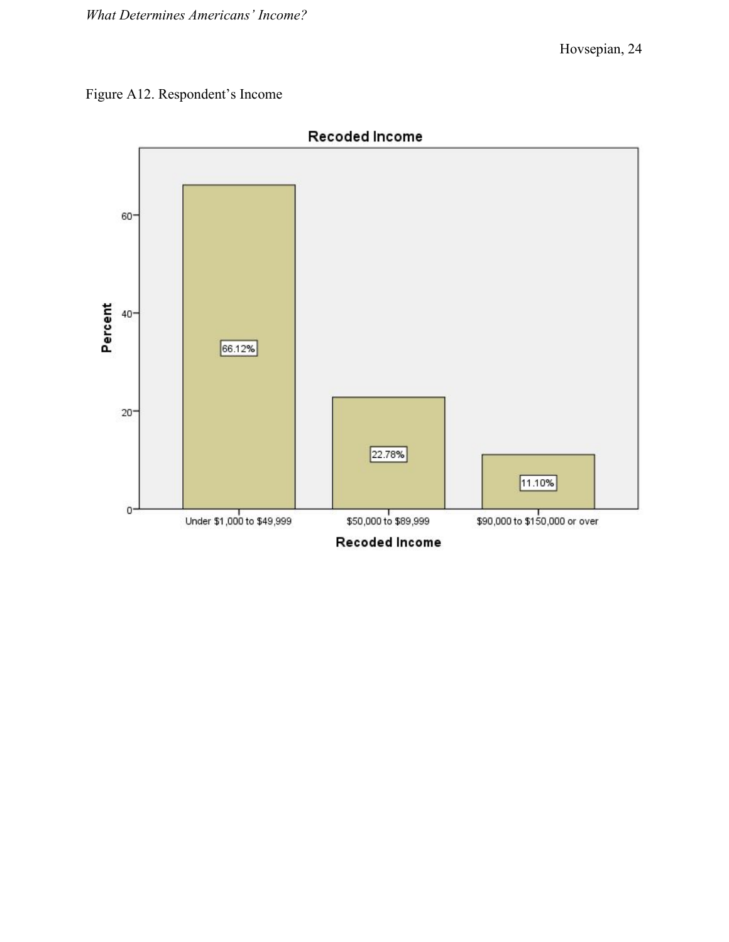# Figure A12. Respondent's Income

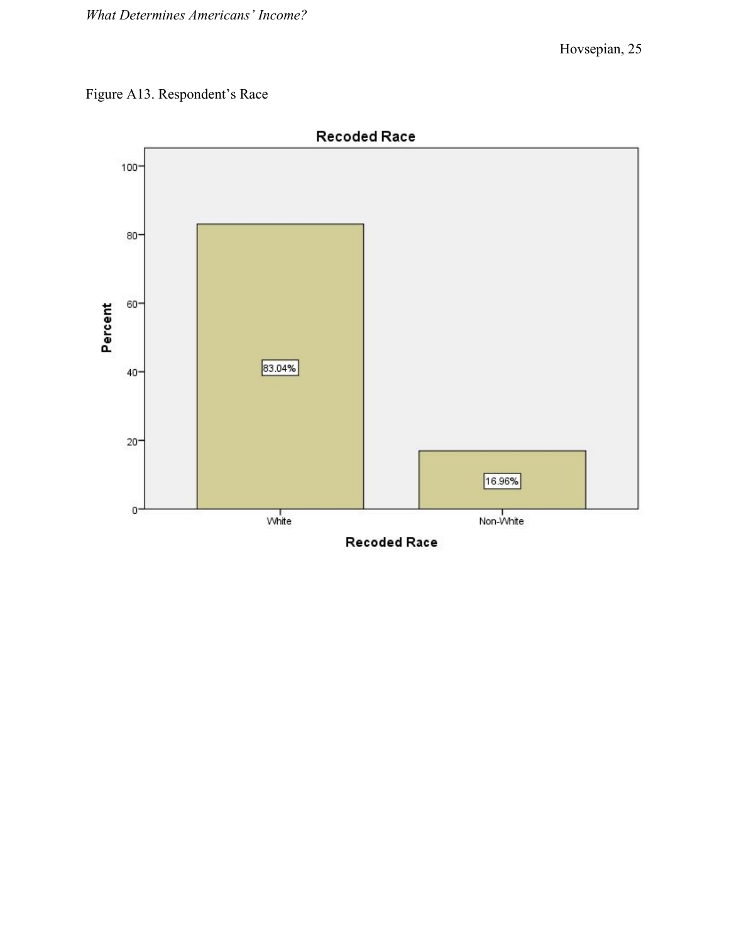